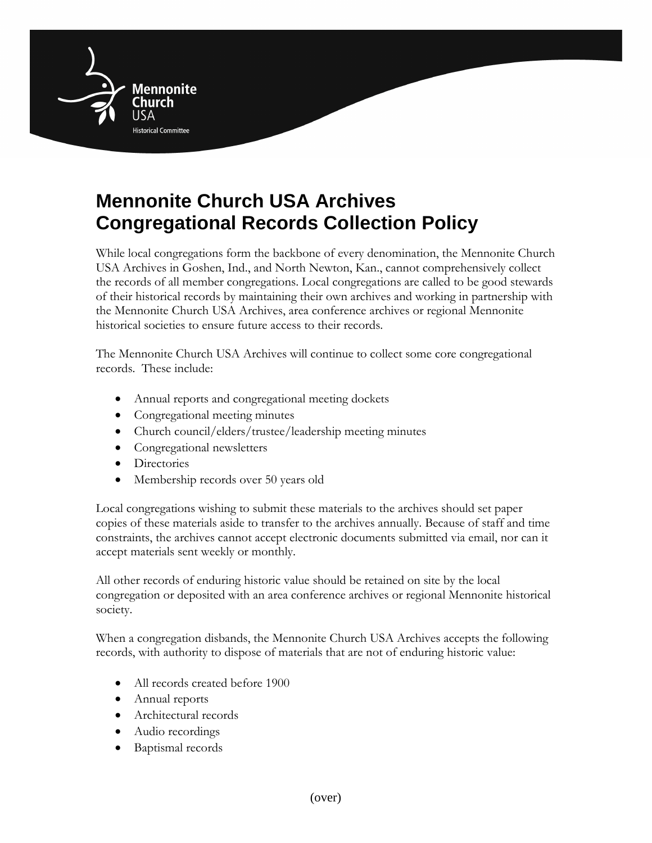

## **Mennonite Church USA Archives Congregational Records Collection Policy**

While local congregations form the backbone of every denomination, the Mennonite Church USA Archives in Goshen, Ind., and North Newton, Kan., cannot comprehensively collect the records of all member congregations. Local congregations are called to be good stewards of their historical records by maintaining their own archives and working in partnership with the Mennonite Church USA Archives, area conference archives or regional Mennonite historical societies to ensure future access to their records.

The Mennonite Church USA Archives will continue to collect some core congregational records. These include:

- Annual reports and congregational meeting dockets
- Congregational meeting minutes
- Church council/elders/trustee/leadership meeting minutes
- Congregational newsletters
- Directories
- Membership records over 50 years old

Local congregations wishing to submit these materials to the archives should set paper copies of these materials aside to transfer to the archives annually. Because of staff and time constraints, the archives cannot accept electronic documents submitted via email, nor can it accept materials sent weekly or monthly.

All other records of enduring historic value should be retained on site by the local congregation or deposited with an area conference archives or regional Mennonite historical society.

When a congregation disbands, the Mennonite Church USA Archives accepts the following records, with authority to dispose of materials that are not of enduring historic value:

- All records created before 1900
- Annual reports
- Architectural records
- Audio recordings
- Baptismal records